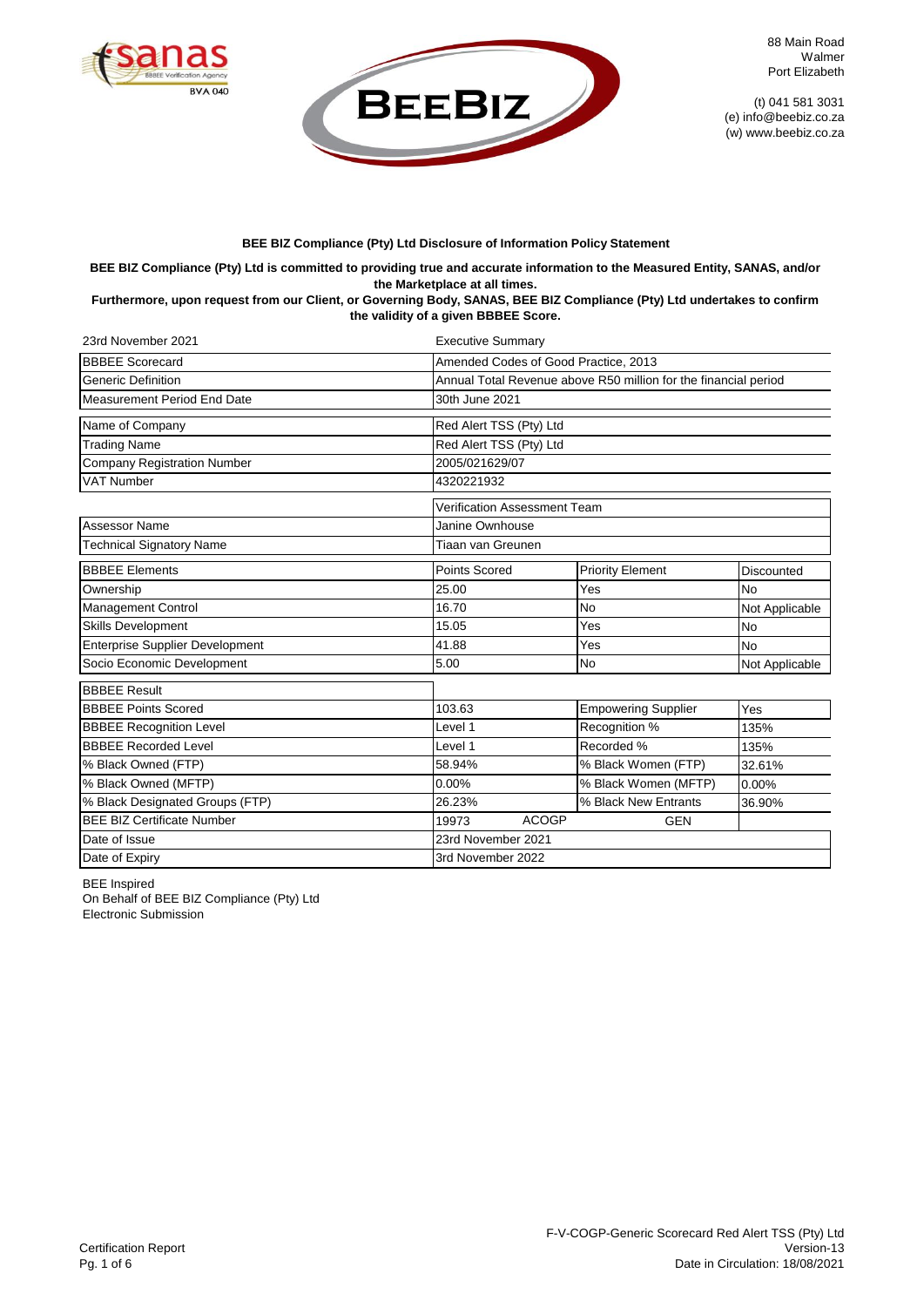



88 Main Road Walmer Port Elizabeth

(t) 041 581 3031 (e) info@beebiz.co.za (w) www.beebiz.co.za

## **BEE BIZ Compliance (Pty) Ltd Disclosure of Information Policy Statement**

# **BEE BIZ Compliance (Pty) Ltd is committed to providing true and accurate information to the Measured Entity, SANAS, and/or the Marketplace at all times.**

## **Furthermore, upon request from our Client, or Governing Body, SANAS, BEE BIZ Compliance (Pty) Ltd undertakes to confirm the validity of a given BBBEE Score.**

| 23rd November 2021                              | <b>Executive Summary</b>                                        |                            |                |  |  |
|-------------------------------------------------|-----------------------------------------------------------------|----------------------------|----------------|--|--|
| <b>BBBEE Scorecard</b>                          | Amended Codes of Good Practice, 2013                            |                            |                |  |  |
| <b>Generic Definition</b>                       | Annual Total Revenue above R50 million for the financial period |                            |                |  |  |
| Measurement Period End Date                     | 30th June 2021                                                  |                            |                |  |  |
| Name of Company                                 | Red Alert TSS (Pty) Ltd                                         |                            |                |  |  |
| <b>Trading Name</b>                             | Red Alert TSS (Pty) Ltd                                         |                            |                |  |  |
| <b>Company Registration Number</b>              | 2005/021629/07                                                  |                            |                |  |  |
| <b>VAT Number</b>                               | 4320221932                                                      |                            |                |  |  |
|                                                 | <b>Verification Assessment Team</b>                             |                            |                |  |  |
| Assessor Name                                   | Janine Ownhouse                                                 |                            |                |  |  |
| <b>Technical Signatory Name</b>                 | Tiaan van Greunen                                               |                            |                |  |  |
| <b>BBBEE Elements</b>                           | <b>Points Scored</b>                                            | <b>Priority Element</b>    |                |  |  |
| Ownership                                       | $\overline{2}5.00$                                              | Yes                        | <b>No</b>      |  |  |
| Management Control                              | 16.70                                                           | <b>No</b>                  | Not Applicable |  |  |
| <b>Skills Development</b>                       | 15.05<br>Yes                                                    |                            | <b>No</b>      |  |  |
| Enterprise Supplier Development                 | 41.88<br>Yes                                                    |                            | <b>No</b>      |  |  |
| 5.00<br>Socio Economic Development<br><b>No</b> |                                                                 |                            | Not Applicable |  |  |
| <b>BBBEE Result</b>                             |                                                                 |                            |                |  |  |
| <b>BBBEE Points Scored</b>                      | 103.63                                                          | <b>Empowering Supplier</b> | Yes            |  |  |
| <b>BBBEE Recognition Level</b>                  | Level 1                                                         | Recognition %              | 135%           |  |  |
| <b>BBBEE Recorded Level</b>                     | Level 1                                                         | Recorded %                 | 135%           |  |  |
| % Black Owned (FTP)                             | 58.94%                                                          | % Black Women (FTP)        | 32.61%         |  |  |
| % Black Owned (MFTP)                            | 0.00%<br>% Black Women (MFTP)                                   |                            | 0.00%          |  |  |
| % Black Designated Groups (FTP)                 | 26.23%<br>% Black New Entrants<br>36.90%                        |                            |                |  |  |
| <b>BEE BIZ Certificate Number</b>               | <b>ACOGP</b><br>19973                                           | <b>GEN</b>                 |                |  |  |
| Date of Issue                                   | 23rd November 2021                                              |                            |                |  |  |
| Date of Expiry                                  | 3rd November 2022                                               |                            |                |  |  |

BEE Inspired

Electronic Submission On Behalf of BEE BIZ Compliance (Pty) Ltd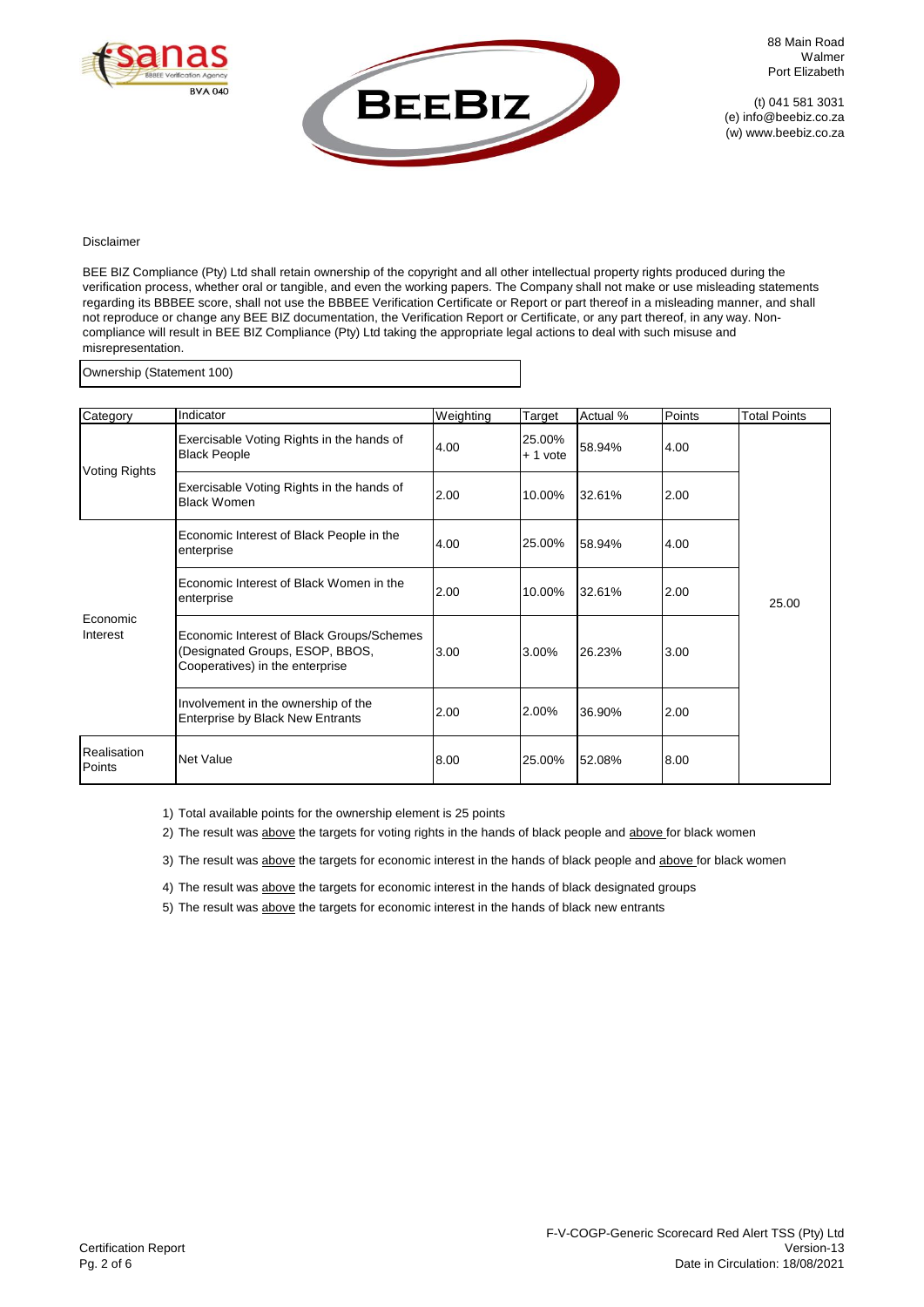



### Disclaimer

BEE BIZ Compliance (Pty) Ltd shall retain ownership of the copyright and all other intellectual property rights produced during the verification process, whether oral or tangible, and even the working papers. The Company shall not make or use misleading statements regarding its BBBEE score, shall not use the BBBEE Verification Certificate or Report or part thereof in a misleading manner, and shall not reproduce or change any BEE BIZ documentation, the Verification Report or Certificate, or any part thereof, in any way. Noncompliance will result in BEE BIZ Compliance (Pty) Ltd taking the appropriate legal actions to deal with such misuse and misrepresentation.

Ownership (Statement 100)

| Category              | Indicator                                                                                                       | Weighting | Target              | Actual % | Points | <b>Total Points</b> |
|-----------------------|-----------------------------------------------------------------------------------------------------------------|-----------|---------------------|----------|--------|---------------------|
| Voting Rights         | Exercisable Voting Rights in the hands of<br><b>Black People</b>                                                | 4.00      | 25.00%<br>$+1$ vote | 58.94%   | 4.00   |                     |
|                       | Exercisable Voting Rights in the hands of<br><b>Black Women</b>                                                 | 2.00      | 10.00%              | 32.61%   | 2.00   |                     |
| Economic<br>Interest  | Economic Interest of Black People in the<br>enterprise                                                          | 4.00      | 25.00%              | 58.94%   | 4.00   |                     |
|                       | Economic Interest of Black Women in the<br>enterprise                                                           | 2.00      | 10.00%              | 32.61%   | 2.00   | 25.00               |
|                       | Economic Interest of Black Groups/Schemes<br>(Designated Groups, ESOP, BBOS,<br>Cooperatives) in the enterprise | 3.00      | 3.00%               | 26.23%   | 3.00   |                     |
|                       | Involvement in the ownership of the<br><b>Enterprise by Black New Entrants</b>                                  | 2.00      | 2.00%               | 36.90%   | 2.00   |                     |
| Realisation<br>Points | <b>Net Value</b>                                                                                                | 8.00      | 25.00%              | 52.08%   | 8.00   |                     |

1) Total available points for the ownership element is 25 points

2) The result was above the targets for voting rights in the hands of black people and above for black women

3) The result was above the targets for economic interest in the hands of black people and above for black women

4) The result was above the targets for economic interest in the hands of black designated groups

5) The result was above the targets for economic interest in the hands of black new entrants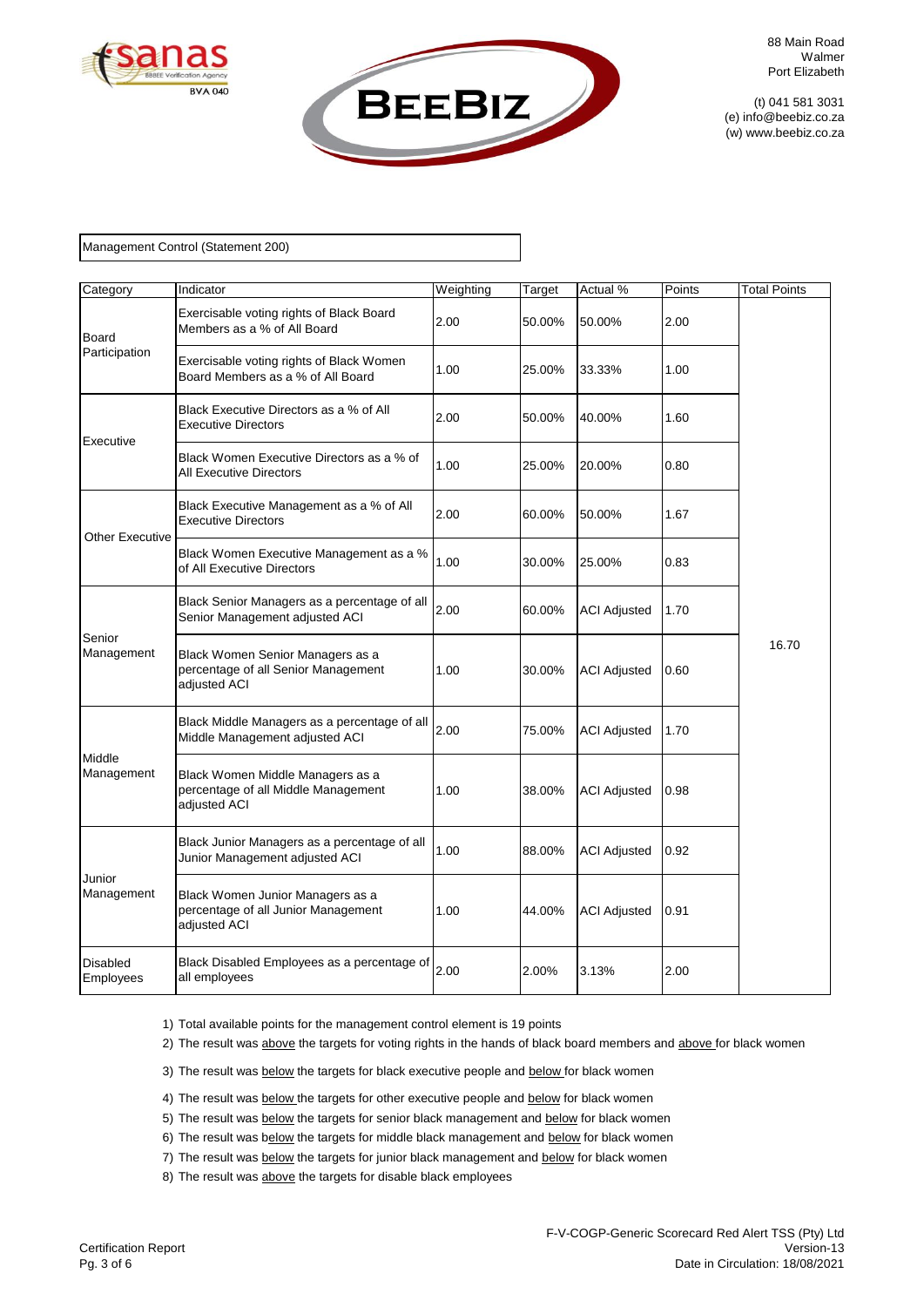



### Management Control (Statement 200)

| Category                     | Indicator                                                                               | Weighting | Target | Actual %            | Points | <b>Total Points</b> |
|------------------------------|-----------------------------------------------------------------------------------------|-----------|--------|---------------------|--------|---------------------|
| Board<br>Participation       | Exercisable voting rights of Black Board<br>Members as a % of All Board                 | 2.00      | 50.00% | 50.00%              | 2.00   |                     |
|                              | Exercisable voting rights of Black Women<br>Board Members as a % of All Board           | 1.00      | 25.00% | 33.33%              | 1.00   |                     |
|                              | Black Executive Directors as a % of All<br><b>Executive Directors</b>                   | 2.00      | 50.00% | 40.00%              | 1.60   |                     |
| Executive                    | Black Women Executive Directors as a % of<br><b>All Executive Directors</b>             | 1.00      | 25.00% | 20.00%              | 0.80   |                     |
| <b>Other Executive</b>       | Black Executive Management as a % of All<br><b>Executive Directors</b>                  | 2.00      | 60.00% | 50.00%              | 1.67   |                     |
|                              | Black Women Executive Management as a %<br>of All Executive Directors                   | 1.00      | 30.00% | 25.00%              | 0.83   |                     |
| Senior<br>Management         | Black Senior Managers as a percentage of all<br>Senior Management adjusted ACI          | 2.00      | 60.00% | <b>ACI Adjusted</b> | 1.70   |                     |
|                              | Black Women Senior Managers as a<br>percentage of all Senior Management<br>adjusted ACI | 1.00      | 30.00% | <b>ACI Adjusted</b> | 0.60   | 16.70               |
|                              | Black Middle Managers as a percentage of all<br>Middle Management adjusted ACI          | 2.00      | 75.00% | <b>ACI Adjusted</b> | 1.70   |                     |
| Middle<br>Management         | Black Women Middle Managers as a<br>percentage of all Middle Management<br>adjusted ACI | 1.00      | 38.00% | <b>ACI Adjusted</b> | 0.98   |                     |
| Junior<br>Management         | Black Junior Managers as a percentage of all<br>Junior Management adjusted ACI          | 1.00      | 88.00% | <b>ACI Adjusted</b> | 0.92   |                     |
|                              | Black Women Junior Managers as a<br>percentage of all Junior Management<br>adjusted ACI | 1.00      | 44.00% | <b>ACI Adjusted</b> | 0.91   |                     |
| <b>Disabled</b><br>Employees | Black Disabled Employees as a percentage of<br>all employees                            | 2.00      | 2.00%  | 3.13%               | 2.00   |                     |

1) Total available points for the management control element is 19 points

2) The result was above the targets for voting rights in the hands of black board members and above for black women

3) The result was below the targets for black executive people and below for black women

4) The result was **below** the targets for other executive people and **below** for black women

5) The result was below the targets for senior black management and below for black women

6) The result was below the targets for middle black management and below for black women

7) The result was below the targets for junior black management and below for black women

8) The result was above the targets for disable black employees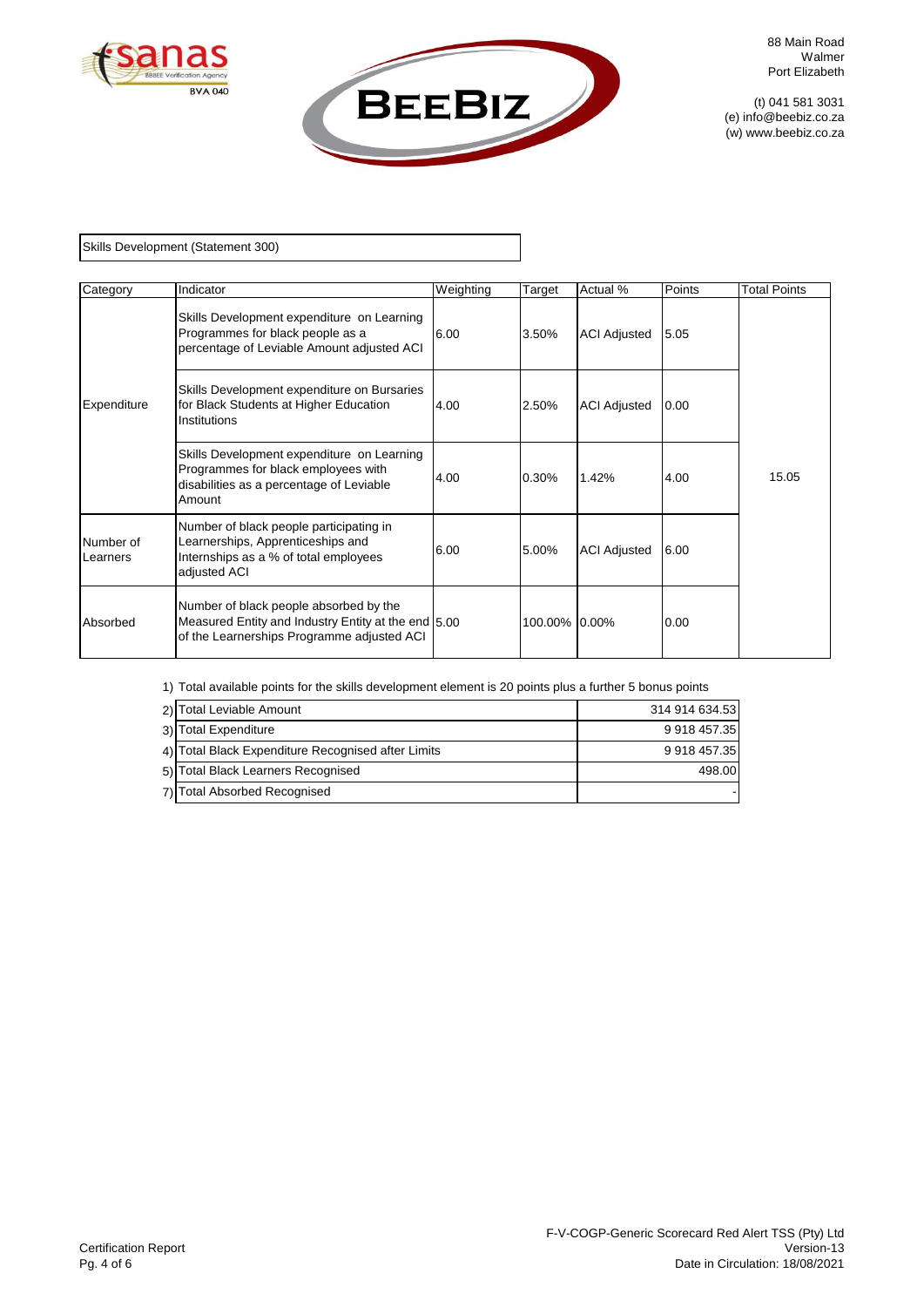

Skills Development (Statement 300)

| Category                     | Indicator                                                                                                                                   | Weighting | Target        | Actual %            | Points | <b>Total Points</b> |
|------------------------------|---------------------------------------------------------------------------------------------------------------------------------------------|-----------|---------------|---------------------|--------|---------------------|
|                              | Skills Development expenditure on Learning<br>Programmes for black people as a<br>percentage of Leviable Amount adjusted ACI                | 6.00      | 3.50%         | <b>ACI Adjusted</b> | 5.05   |                     |
| Expenditure                  | Skills Development expenditure on Bursaries<br>for Black Students at Higher Education<br>Institutions                                       | 4.00      | 2.50%         | <b>ACI Adjusted</b> | 0.00   |                     |
|                              | Skills Development expenditure on Learning<br>Programmes for black employees with<br>disabilities as a percentage of Leviable<br>Amount     | 4.00      | 0.30%         | 1.42%               | 4.00   | 15.05               |
| Number of<br><b>Learners</b> | Number of black people participating in<br>Learnerships, Apprenticeships and<br>Internships as a % of total employees<br>adjusted ACI       | 6.00      | 5.00%         | <b>ACI Adjusted</b> | 6.00   |                     |
| Absorbed                     | Number of black people absorbed by the<br>Measured Entity and Industry Entity at the end 5.00<br>of the Learnerships Programme adjusted ACI |           | 100.00% 0.00% |                     | 0.00   |                     |

1) Total available points for the skills development element is 20 points plus a further 5 bonus points

| 2) Total Leviable Amount                           | 314 914 634.53 |
|----------------------------------------------------|----------------|
| 3) Total Expenditure                               | 9 918 457.35   |
| 4) Total Black Expenditure Recognised after Limits | 9 918 457.35   |
| 5) Total Black Learners Recognised                 | 498.00         |
| 7) Total Absorbed Recognised                       |                |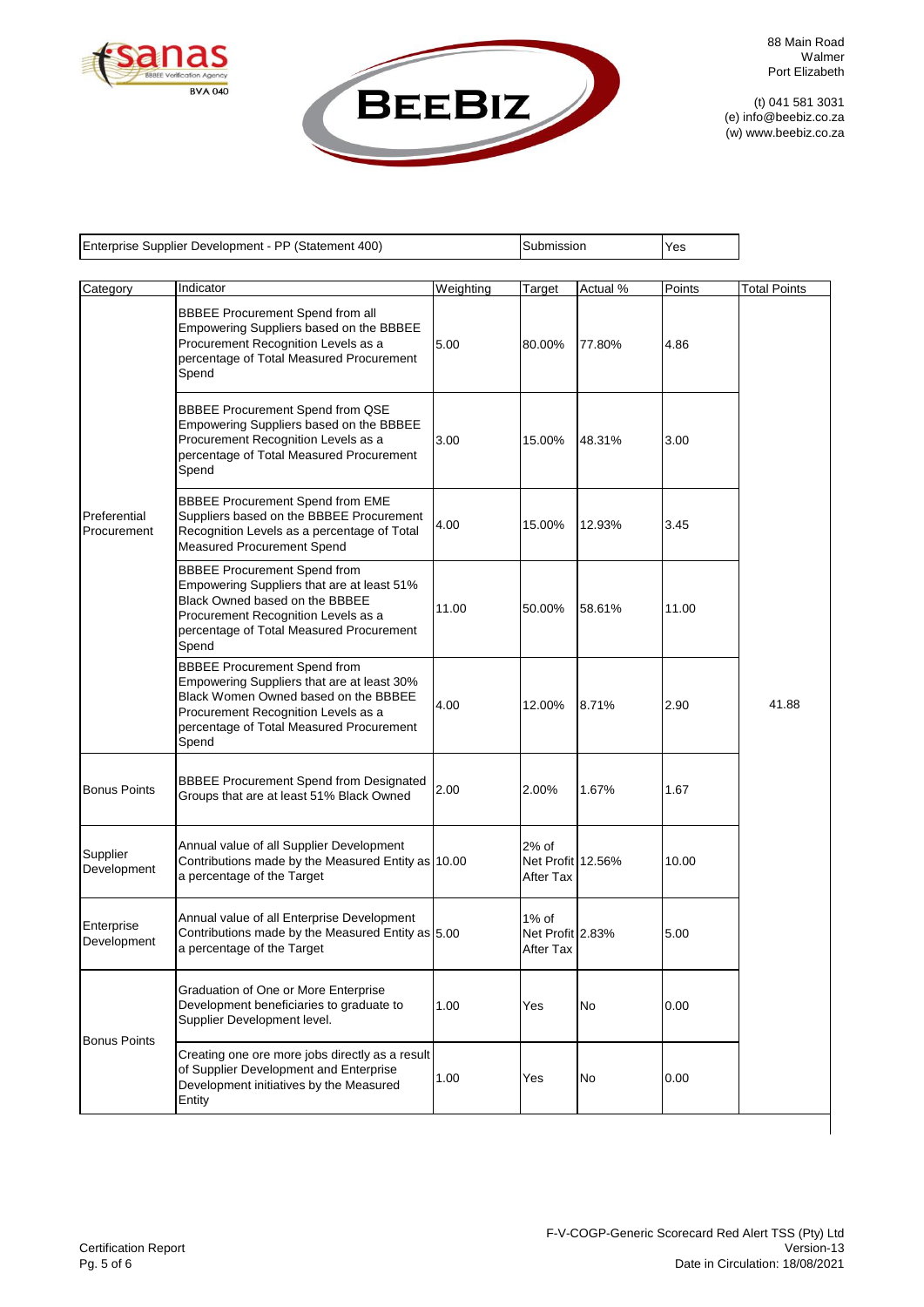



88 Main Road Walmer Port Elizabeth

(t) 041 581 3031 (e) info@beebiz.co.za (w) www.beebiz.co.za

| Enterprise Supplier Development - PP (Statement 400) |                                                                                                                                                                                                                       |           | Submission                              |          | Yes    |                     |
|------------------------------------------------------|-----------------------------------------------------------------------------------------------------------------------------------------------------------------------------------------------------------------------|-----------|-----------------------------------------|----------|--------|---------------------|
| Category                                             | Indicator                                                                                                                                                                                                             | Weighting | Target                                  | Actual % | Points | <b>Total Points</b> |
|                                                      | <b>BBBEE Procurement Spend from all</b><br>Empowering Suppliers based on the BBBEE<br>Procurement Recognition Levels as a<br>percentage of Total Measured Procurement<br>Spend                                        | 5.00      | 80.00%                                  | 77.80%   | 4.86   |                     |
|                                                      | <b>BBBEE Procurement Spend from QSE</b><br>Empowering Suppliers based on the BBBEE<br>Procurement Recognition Levels as a<br>percentage of Total Measured Procurement<br>Spend                                        | 3.00      | 15.00%                                  | 48.31%   | 3.00   |                     |
| Preferential<br>Procurement                          | <b>BBBEE Procurement Spend from EME</b><br>Suppliers based on the BBBEE Procurement<br>Recognition Levels as a percentage of Total<br>Measured Procurement Spend                                                      | 4.00      | 15.00%                                  | 12.93%   | 3.45   |                     |
|                                                      | <b>BBBEE Procurement Spend from</b><br>Empowering Suppliers that are at least 51%<br>Black Owned based on the BBBEE<br>Procurement Recognition Levels as a<br>percentage of Total Measured Procurement<br>Spend       | 11.00     | 50.00%                                  | 58.61%   | 11.00  |                     |
|                                                      | <b>BBBEE Procurement Spend from</b><br>Empowering Suppliers that are at least 30%<br>Black Women Owned based on the BBBEE<br>Procurement Recognition Levels as a<br>percentage of Total Measured Procurement<br>Spend | 4.00      | 12.00%                                  | 8.71%    | 2.90   | 41.88               |
| <b>Bonus Points</b>                                  | <b>BBBEE Procurement Spend from Designated</b><br>Groups that are at least 51% Black Owned                                                                                                                            | 2.00      | 2.00%                                   | 1.67%    | 1.67   |                     |
| Supplier<br>Development                              | Annual value of all Supplier Development<br>Contributions made by the Measured Entity as 10.00<br>a percentage of the Target                                                                                          |           | 2% of<br>Net Profit 12.56%<br>After Tax |          | 10.00  |                     |
| Enterprise<br>Development                            | Annual value of all Enterprise Development<br>Contributions made by the Measured Entity as 5.00<br>a percentage of the Target                                                                                         |           | 1% of<br>Net Profit 2.83%<br>After Tax  |          | 5.00   |                     |
|                                                      | Graduation of One or More Enterprise<br>Development beneficiaries to graduate to<br>Supplier Development level.                                                                                                       | 1.00      | Yes                                     | No       | 0.00   |                     |
| <b>Bonus Points</b>                                  | Creating one ore more jobs directly as a result<br>of Supplier Development and Enterprise<br>Development initiatives by the Measured<br>Entity                                                                        | 1.00      | Yes                                     | No       | 0.00   |                     |